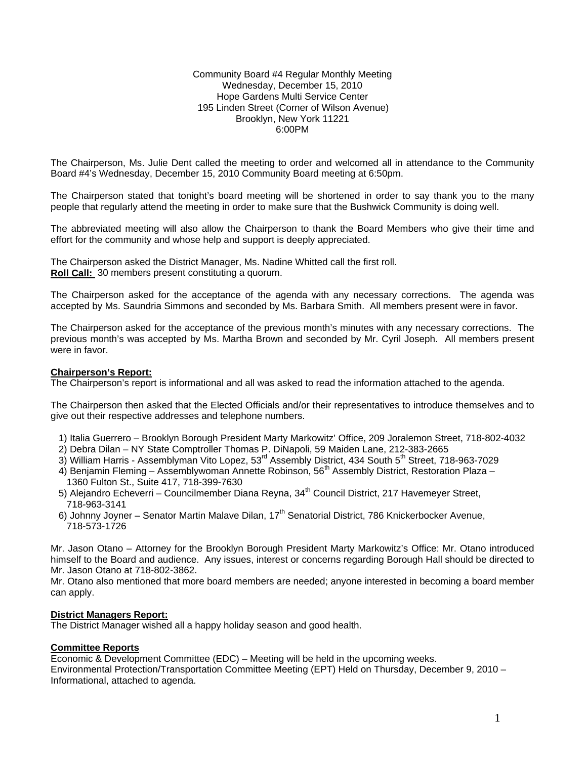#### Community Board #4 Regular Monthly Meeting Wednesday, December 15, 2010 Hope Gardens Multi Service Center 195 Linden Street (Corner of Wilson Avenue) Brooklyn, New York 11221 6:00PM

The Chairperson, Ms. Julie Dent called the meeting to order and welcomed all in attendance to the Community Board #4's Wednesday, December 15, 2010 Community Board meeting at 6:50pm.

The Chairperson stated that tonight's board meeting will be shortened in order to say thank you to the many people that regularly attend the meeting in order to make sure that the Bushwick Community is doing well.

The abbreviated meeting will also allow the Chairperson to thank the Board Members who give their time and effort for the community and whose help and support is deeply appreciated.

The Chairperson asked the District Manager, Ms. Nadine Whitted call the first roll. **Roll Call:** 30 members present constituting a quorum.

The Chairperson asked for the acceptance of the agenda with any necessary corrections. The agenda was accepted by Ms. Saundria Simmons and seconded by Ms. Barbara Smith. All members present were in favor.

The Chairperson asked for the acceptance of the previous month's minutes with any necessary corrections. The previous month's was accepted by Ms. Martha Brown and seconded by Mr. Cyril Joseph. All members present were in favor.

### **Chairperson's Report:**

The Chairperson's report is informational and all was asked to read the information attached to the agenda.

The Chairperson then asked that the Elected Officials and/or their representatives to introduce themselves and to give out their respective addresses and telephone numbers.

- 1) Italia Guerrero Brooklyn Borough President Marty Markowitz' Office, 209 Joralemon Street, 718-802-4032
- 2) Debra Dilan NY State Comptroller Thomas P. DiNapoli, 59 Maiden Lane, 212-383-2665
- 3) William Harris Assemblyman Vito Lopez, 53<sup>rd</sup> Assembly District, 434 South 5<sup>th</sup> Street, 718-963-7029
	- $4)$  Benjamin Fleming Assemblywoman Annette Robinson, 56<sup>th</sup> Assembly District, Restoration Plaza 1360 Fulton St., Suite 417, 718-399-7630
	- 5) Alejandro Echeverri Councilmember Diana Reyna, 34<sup>th</sup> Council District, 217 Havemeyer Street, 718-963-3141
	- 6) Johnny Joyner Senator Martin Malave Dilan, 17<sup>th</sup> Senatorial District, 786 Knickerbocker Avenue, 718-573-1726

Mr. Jason Otano – Attorney for the Brooklyn Borough President Marty Markowitz's Office: Mr. Otano introduced himself to the Board and audience. Any issues, interest or concerns regarding Borough Hall should be directed to Mr. Jason Otano at 718-802-3862.

Mr. Otano also mentioned that more board members are needed; anyone interested in becoming a board member can apply.

### **District Managers Report:**

The District Manager wished all a happy holiday season and good health.

### **Committee Reports**

Economic & Development Committee (EDC) – Meeting will be held in the upcoming weeks. Environmental Protection/Transportation Committee Meeting (EPT) Held on Thursday, December 9, 2010 – Informational, attached to agenda.